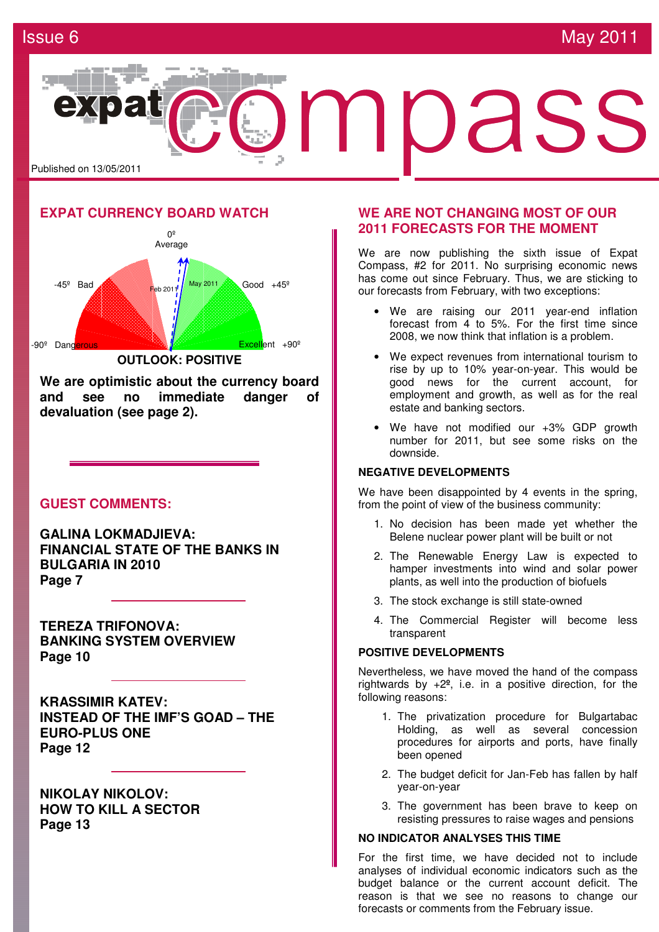

## **EXPAT CURRENCY BOARD WATCH**



**We are optimistic about the currency board and see no immediate danger of devaluation (see page 2).**

### **GUEST COMMENTS:**

**GALINA LOKMADJIEVA: FINANCIAL STATE OF THE BANKS IN BULGARIA IN 2010 Page 7** 

**TEREZA TRIFONOVA: BANKING SYSTEM OVERVIEW Page 10** 

**KRASSIMIR KATEV: INSTEAD OF THE IMF'S GOAD – THE EURO-PLUS ONE Page 12** 

**NIKOLAY NIKOLOV: HOW TO KILL A SECTOR Page 13** 

### **WE ARE NOT CHANGING MOST OF OUR 2011 FORECASTS FOR THE MOMENT**

We are now publishing the sixth issue of Expat Compass, #2 for 2011. No surprising economic news has come out since February. Thus, we are sticking to our forecasts from February, with two exceptions:

- We are raising our 2011 year-end inflation forecast from 4 to 5%. For the first time since 2008, we now think that inflation is a problem.
- We expect revenues from international tourism to rise by up to 10% year-on-year. This would be good news for the current account, for employment and growth, as well as for the real estate and banking sectors.
- We have not modified our +3% GDP growth number for 2011, but see some risks on the downside.

### **NEGATIVE DEVELOPMENTS**

We have been disappointed by 4 events in the spring, from the point of view of the business community:

- 1. No decision has been made yet whether the Belene nuclear power plant will be built or not
- 2. The Renewable Energy Law is expected to hamper investments into wind and solar power plants, as well into the production of biofuels
- 3. The stock exchange is still state-owned
- 4. The Commercial Register will become less transparent

### **POSITIVE DEVELOPMENTS**

Nevertheless, we have moved the hand of the compass rightwards by +2**º**, i.e. in a positive direction, for the following reasons:

- 1. The privatization procedure for Bulgartabac Holding, as well as several concession procedures for airports and ports, have finally been opened
- 2. The budget deficit for Jan-Feb has fallen by half year-on-year
- 3. The government has been brave to keep on resisting pressures to raise wages and pensions

### **NO INDICATOR ANALYSES THIS TIME**

For the first time, we have decided not to include analyses of individual economic indicators such as the budget balance or the current account deficit. The reason is that we see no reasons to change our forecasts or comments from the February issue.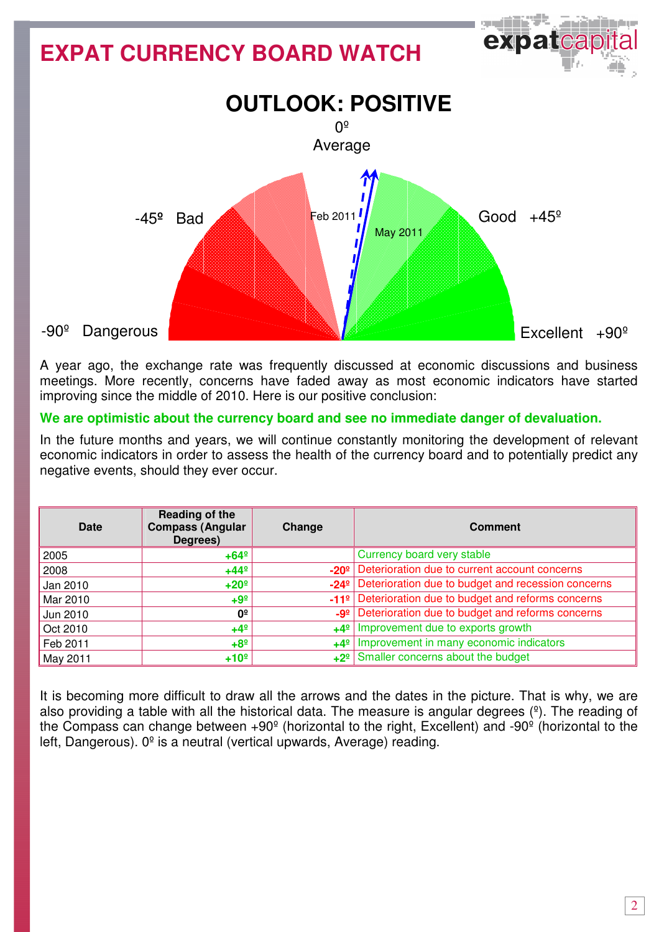# exparea **EXPAT CURRENCY BOARD WATCH OUTLOOK: POSITIVE**   $0<sup>°</sup>$ Average Feb 2011 Good  $+45^{\circ}$  -45**º** Bad **May 201** -90º Dangerous  $Fixed$ Excellent  $+90^{\circ}$

A year ago, the exchange rate was frequently discussed at economic discussions and business meetings. More recently, concerns have faded away as most economic indicators have started improving since the middle of 2010. Here is our positive conclusion:

## **We are optimistic about the currency board and see no immediate danger of devaluation.**

In the future months and years, we will continue constantly monitoring the development of relevant economic indicators in order to assess the health of the currency board and to potentially predict any negative events, should they ever occur.

| Date     | Reading of the<br><b>Compass (Angular</b><br>Degrees) | Change | <b>Comment</b>                                                      |
|----------|-------------------------------------------------------|--------|---------------------------------------------------------------------|
| 2005     | $+64^{\circ}$                                         |        | Currency board very stable                                          |
| 2008     | $+44^{\circ}$                                         |        | -20 <sup>°</sup> Deterioration due to current account concerns      |
| Jan 2010 | $+20°$                                                |        | -24 <sup>°</sup> Deterioration due to budget and recession concerns |
| Mar 2010 | $+9^{\circ}$                                          |        | -11 <sup>º</sup> Deterioration due to budget and reforms concerns   |
| Jun 2010 | 0º                                                    |        | -9 <sup>2</sup> Deterioration due to budget and reforms concerns    |
| Oct 2010 | $+4^{\circ}$                                          |        | +4 <sup>o</sup>   Improvement due to exports growth                 |
| Feb 2011 | $+8^{\circ}$                                          |        | +4 <sup>o</sup>   Improvement in many economic indicators           |
| May 2011 | $+10°$                                                |        | $+2^{\circ}$ Smaller concerns about the budget                      |

It is becoming more difficult to draw all the arrows and the dates in the picture. That is why, we are also providing a table with all the historical data. The measure is angular degrees  $(2)$ . The reading of the Compass can change between +90º (horizontal to the right, Excellent) and -90º (horizontal to the left, Dangerous).  $0^{\circ}$  is a neutral (vertical upwards, Average) reading.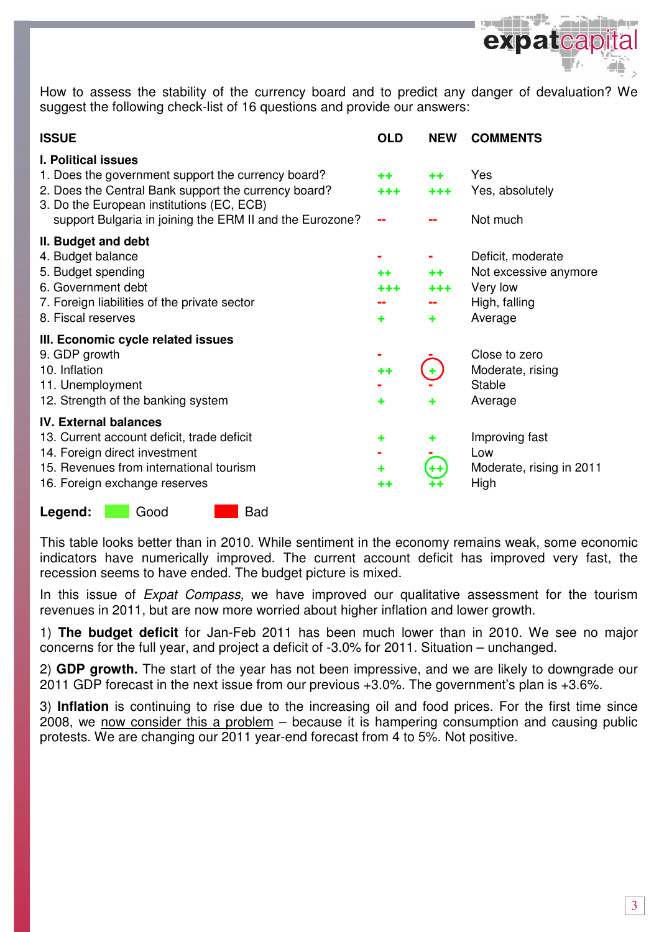

How to assess the stability of the currency board and to predict any danger of devaluation? We suggest the following check-list of 16 questions and provide our answers:

| <b>ISSUE</b>                                                                                                                                                                                                                                      | <b>OLD</b>             | <b>NEW</b>          | <b>COMMENTS</b>                                                                    |
|---------------------------------------------------------------------------------------------------------------------------------------------------------------------------------------------------------------------------------------------------|------------------------|---------------------|------------------------------------------------------------------------------------|
| <b>I. Political issues</b><br>1. Does the government support the currency board?<br>2. Does the Central Bank support the currency board?<br>3. Do the European institutions (EC, ECB)<br>support Bulgaria in joining the ERM II and the Eurozone? | $+ +$<br>$+ + +$<br>-- | $++$<br>$+ + +$     | Yes<br>Yes, absolutely<br>Not much                                                 |
| II. Budget and debt<br>4. Budget balance<br>5. Budget spending<br>6. Government debt<br>7. Foreign liabilities of the private sector<br>8. Fiscal reserves                                                                                        | $+ +$<br>+++<br>٠      | ++<br>$+ + +$<br>٠  | Deficit, moderate<br>Not excessive anymore<br>Very low<br>High, falling<br>Average |
| III. Economic cycle related issues<br>9. GDP growth<br>10. Inflation<br>11. Unemployment<br>12. Strength of the banking system                                                                                                                    | $^{\tiny{++}}$<br>٠    | ٠<br>٠              | Close to zero<br>Moderate, rising<br><b>Stable</b><br>Average                      |
| <b>IV. External balances</b><br>13. Current account deficit, trade deficit<br>14. Foreign direct investment<br>15. Revenues from international tourism<br>16. Foreign exchange reserves                                                           | ٠<br>٠<br>++           | ٠<br>$^{\tiny{++}}$ | Improving fast<br>Low<br>Moderate, rising in 2011<br>High                          |

Legend: Good Bad

This table looks better than in 2010. While sentiment in the economy remains weak, some economic indicators have numerically improved. The current account deficit has improved very fast, the recession seems to have ended. The budget picture is mixed.

In this issue of *Expat Compass*, we have improved our qualitative assessment for the tourism revenues in 2011, but are now more worried about higher inflation and lower growth.

1) **The budget deficit** for Jan-Feb 2011 has been much lower than in 2010. We see no major concerns for the full year, and project a deficit of -3.0% for 2011. Situation – unchanged.

2) **GDP growth.** The start of the year has not been impressive, and we are likely to downgrade our 2011 GDP forecast in the next issue from our previous +3.0%. The government's plan is +3.6%.

3) **Inflation** is continuing to rise due to the increasing oil and food prices. For the first time since 2008, we now consider this a problem – because it is hampering consumption and causing public protests. We are changing our 2011 year-end forecast from 4 to 5%. Not positive.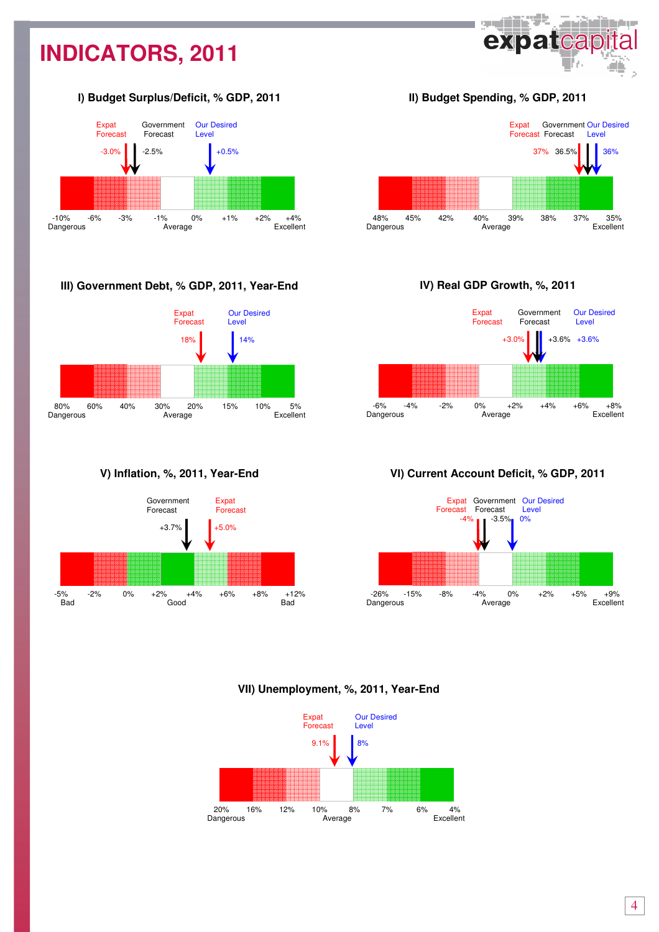## **INDICATORS, 2011**

### І**) Budget Surplus/Deficit, % GDP, 2011**



### **III) Government Debt, % GDP, 2011, Year-End**



### **V) Inflation, %, 2011, Year-End**



### ІІ**) Budget Spending, % GDP, 2011**

**SHIP** 

expatcap

وبمروان أعرقتهم



### І**V) Real GDP Growth, %, 2011**



### **V**І**) Current Account Deficit, % GDP, 2011**



### **VII) Unemployment, %, 2011, Year-End**

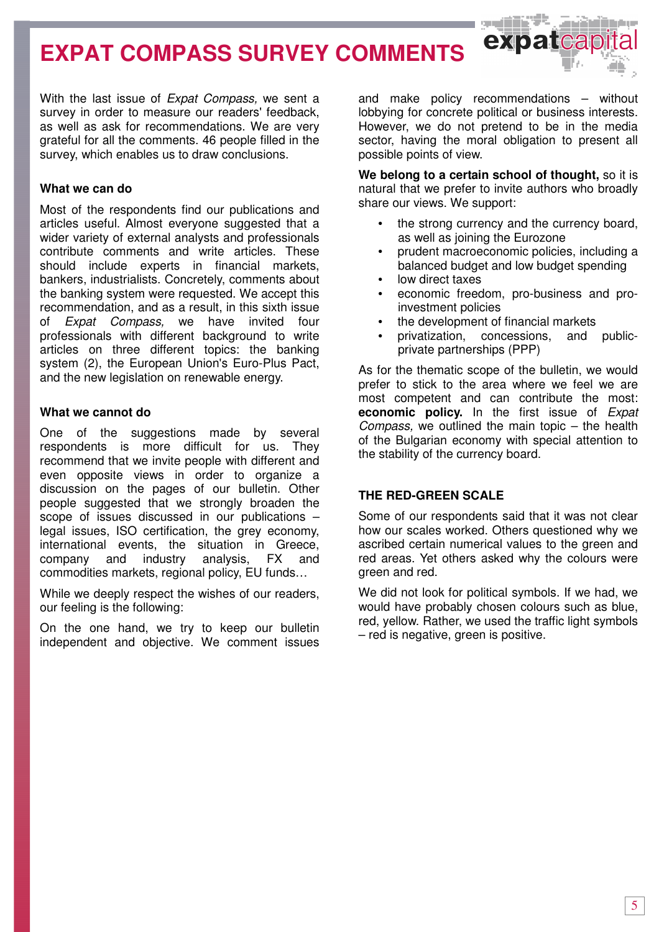## **EXPAT COMPASS SURVEY COMMENTS**

With the last issue of *Expat Compass*, we sent a survey in order to measure our readers' feedback, as well as ask for recommendations. We are very grateful for all the comments. 46 people filled in the survey, which enables us to draw conclusions.

### **What we can do**

Most of the respondents find our publications and articles useful. Almost everyone suggested that a wider variety of external analysts and professionals contribute comments and write articles. These should include experts in financial markets, bankers, industrialists. Concretely, comments about the banking system were requested. We accept this recommendation, and as a result, in this sixth issue of Expat Compass, we have invited four professionals with different background to write articles on three different topics: the banking system (2), the European Union's Euro-Plus Pact, and the new legislation on renewable energy.

### **What we cannot do**

One of the suggestions made by several respondents is more difficult for us. They recommend that we invite people with different and even opposite views in order to organize a discussion on the pages of our bulletin. Other people suggested that we strongly broaden the scope of issues discussed in our publications – legal issues, ISO certification, the grey economy, international events, the situation in Greece, company and industry analysis, FX and commodities markets, regional policy, EU funds…

While we deeply respect the wishes of our readers, our feeling is the following:

On the one hand, we try to keep our bulletin independent and objective. We comment issues

and make policy recommendations – without lobbying for concrete political or business interests. However, we do not pretend to be in the media sector, having the moral obligation to present all possible points of view.

 $\leftrightarrow$  to a new

**We belong to a certain school of thought,** so it is natural that we prefer to invite authors who broadly share our views. We support:

- the strong currency and the currency board, as well as joining the Eurozone
- prudent macroeconomic policies, including a balanced budget and low budget spending
- low direct taxes
- economic freedom, pro-business and proinvestment policies
- the development of financial markets
- privatization, concessions, and publicprivate partnerships (PPP)

As for the thematic scope of the bulletin, we would prefer to stick to the area where we feel we are most competent and can contribute the most: **economic policy.** In the first issue of Expat Compass, we outlined the main topic – the health of the Bulgarian economy with special attention to the stability of the currency board.

### **THE RED-GREEN SCALE**

Some of our respondents said that it was not clear how our scales worked. Others questioned why we ascribed certain numerical values to the green and red areas. Yet others asked why the colours were green and red.

We did not look for political symbols. If we had, we would have probably chosen colours such as blue, red, yellow. Rather, we used the traffic light symbols – red is negative, green is positive.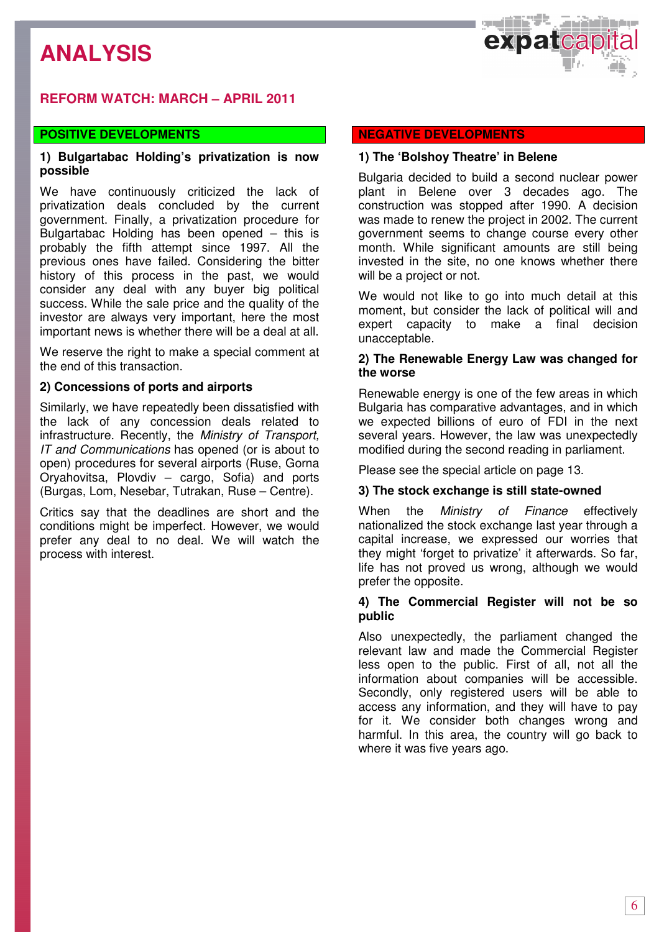## **ANALYSIS**



## **REFORM WATCH: MARCH – APRIL 2011**

### **POSITIVE DEVELOPMENTS**

### **1) Bulgartabac Holding's privatization is now possible**

We have continuously criticized the lack of privatization deals concluded by the current government. Finally, a privatization procedure for Bulgartabac Holding has been opened – this is probably the fifth attempt since 1997. All the previous ones have failed. Considering the bitter history of this process in the past, we would consider any deal with any buyer big political success. While the sale price and the quality of the investor are always very important, here the most important news is whether there will be a deal at all.

We reserve the right to make a special comment at the end of this transaction.

### **2) Concessions of ports and airports**

Similarly, we have repeatedly been dissatisfied with the lack of any concession deals related to infrastructure. Recently, the Ministry of Transport, IT and Communications has opened (or is about to open) procedures for several airports (Ruse, Gorna Oryahovitsa, Plovdiv – cargo, Sofia) and ports (Burgas, Lom, Nesebar, Tutrakan, Ruse – Centre).

Critics say that the deadlines are short and the conditions might be imperfect. However, we would prefer any deal to no deal. We will watch the process with interest.

### **NEGATIVE DEVELOPMENTS**

### **1) The 'Bolshoy Theatre' in Belene**

Bulgaria decided to build a second nuclear power plant in Belene over 3 decades ago. The construction was stopped after 1990. A decision was made to renew the project in 2002. The current government seems to change course every other month. While significant amounts are still being invested in the site, no one knows whether there will be a project or not.

We would not like to go into much detail at this moment, but consider the lack of political will and expert capacity to make a final decision unacceptable.

### **2) The Renewable Energy Law was changed for the worse**

Renewable energy is one of the few areas in which Bulgaria has comparative advantages, and in which we expected billions of euro of FDI in the next several years. However, the law was unexpectedly modified during the second reading in parliament.

Please see the special article on page 13.

### **3) The stock exchange is still state-owned**

When the *Ministry of Finance* effectively nationalized the stock exchange last year through a capital increase, we expressed our worries that they might 'forget to privatize' it afterwards. So far, life has not proved us wrong, although we would prefer the opposite.

### **4) The Commercial Register will not be so public**

Also unexpectedly, the parliament changed the relevant law and made the Commercial Register less open to the public. First of all, not all the information about companies will be accessible. Secondly, only registered users will be able to access any information, and they will have to pay for it. We consider both changes wrong and harmful. In this area, the country will go back to where it was five years ago.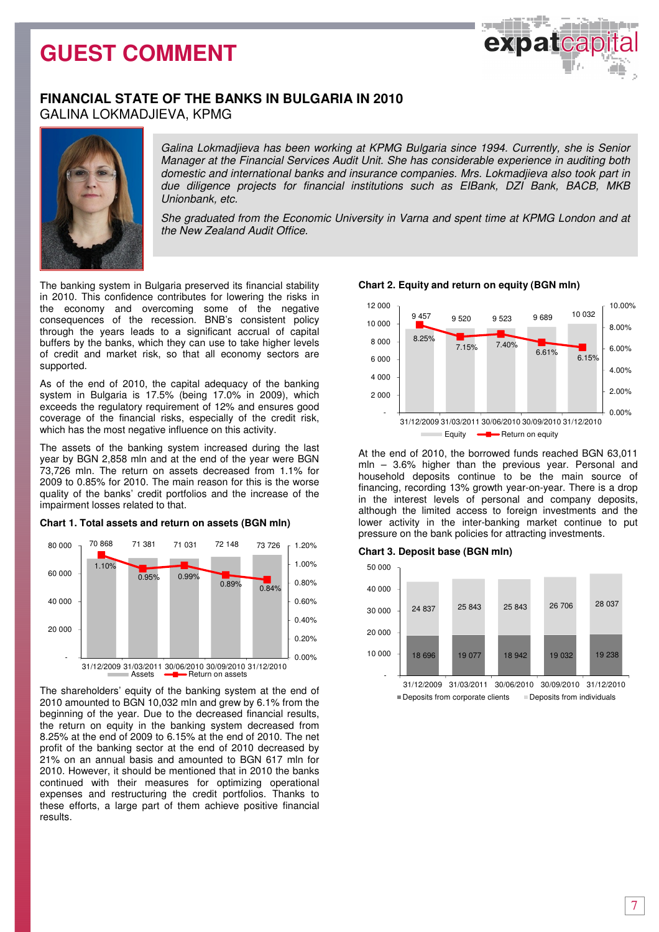

### **FINANCIAL STATE OF THE BANKS IN BULGARIA IN 2010**  GALINA LOKMADJIEVA, KPMG



Galina Lokmadjieva has been working at KPMG Bulgaria since 1994. Currently, she is Senior Manager at the Financial Services Audit Unit. She has considerable experience in auditing both domestic and international banks and insurance companies. Mrs. Lokmadjieva also took part in due diligence projects for financial institutions such as EIBank, DZI Bank, BACB, MKB Unionbank, etc.

She graduated from the Economic University in Varna and spent time at KPMG London and at the New Zealand Audit Office.

The banking system in Bulgaria preserved its financial stability in 2010. This confidence contributes for lowering the risks in the economy and overcoming some of the negative consequences of the recession. BNB's consistent policy through the years leads to а significant accrual of capital buffers by the banks, which they can use to take higher levels of credit and market risk, so that all economy sectors are supported.

As of the end of 2010, the capital adequacy of the banking system in Bulgaria is 17.5% (being 17.0% in 2009), which exceeds the regulatory requirement of 12% and ensures good coverage of the financial risks, especially of the credit risk, which has the most negative influence on this activity.

The assets of the banking system increased during the last year by BGN 2,858 mln and at the end of the year were BGN 73,726 mln. The return on assets decreased from 1.1% for 2009 to 0.85% for 2010. The main reason for this is the worse quality of the banks' credit portfolios and the increase of the impairment losses related to that.

#### **Chart 1. Total assets and return on assets (BGN mln)**



The shareholders' equity of the banking system at the end of 2010 amounted to BGN 10,032 mln and grew by 6.1% from the beginning of the year. Due to the decreased financial results, the return on equity in the banking system decreased from 8.25% at the end of 2009 to 6.15% at the end of 2010. The net profit of the banking sector at the end of 2010 decreased by 21% on an annual basis and amounted to BGN 617 mln for 2010. However, it should be mentioned that in 2010 the banks continued with their measures for optimizing operational expenses and restructuring the credit portfolios. Thanks to these efforts, a large part of them achieve positive financial results.



At the end of 2010, the borrowed funds reached BGN 63,011 mln – 3.6% higher than the previous year. Personal and household deposits continue to be the main source of financing, recording 13% growth year-on-year. There is a drop in the interest levels of personal and company deposits, although the limited access to foreign investments and the lower activity in the inter-banking market continue to put pressure on the bank policies for attracting investments.

### **Chart 3. Deposit base (BGN mln)**



## **Chart 2. Equity and return on equity (BGN mln)**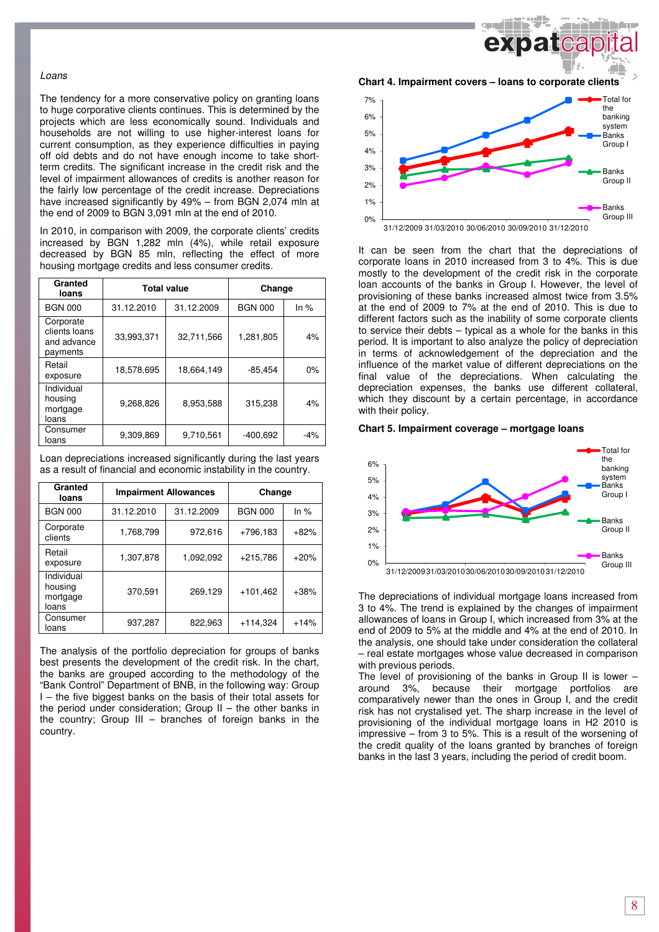#### Loans

The tendency for a more conservative policy on granting loans to huge corporative clients continues. This is determined by the projects which are less economically sound. Individuals and households are not willing to use higher-interest loans for current consumption, as they experience difficulties in paying off old debts and do not have enough income to take shortterm credits. The significant increase in the credit risk and the level of impairment allowances of credits is another reason for the fairly low percentage of the credit increase. Depreciations have increased significantly by 49% – from BGN 2,074 mln at the end of 2009 to BGN 3,091 mln at the end of 2010.

In 2010, in comparison with 2009, the corporate clients' credits increased by BGN 1,282 mln (4%), while retail exposure decreased by BGN 85 mln, reflecting the effect of more housing mortgage credits and less consumer credits.

| Granted<br>loans                                      |            | <b>Total value</b> | Change         |        |  |
|-------------------------------------------------------|------------|--------------------|----------------|--------|--|
| <b>BGN 000</b>                                        | 31.12.2010 | 31.12.2009         | <b>BGN 000</b> | In $%$ |  |
| Corporate<br>clients loans<br>and advance<br>payments | 33,993,371 | 32,711,566         | 1,281,805      | 4%     |  |
| Retail<br>exposure                                    | 18,578,695 | 18.664.149         | $-85,454$      | 0%     |  |
| Individual<br>housing<br>mortgage<br>loans            | 9.268.826  | 8.953.588          | 315.238        | 4%     |  |
| Consumer<br>loans                                     | 9,309,869  | 9.710.561          | $-400.692$     | $-4%$  |  |

Loan depreciations increased significantly during the last years as a result of financial and economic instability in the country.

| Granted<br>loans                           | <b>Impairment Allowances</b> |            | Change         |        |  |
|--------------------------------------------|------------------------------|------------|----------------|--------|--|
| <b>BGN 000</b>                             | 31.12.2010                   | 31.12.2009 | <b>BGN 000</b> | In $%$ |  |
| Corporate<br>clients                       | 1,768,799                    | 972,616    | $+796.183$     | $+82%$ |  |
| Retail<br>exposure                         | 1,307,878                    | 1,092,092  | $+215,786$     | $+20%$ |  |
| Individual<br>housing<br>mortgage<br>loans | 370,591                      | 269,129    | $+101,462$     | $+38%$ |  |
| Consumer<br>loans                          | 937,287                      | 822,963    | $+114,324$     | $+14%$ |  |

The analysis of the portfolio depreciation for groups of banks best presents the development of the credit risk. In the chart, the banks are grouped according to the methodology of the "Bank Control" Department of BNB, in the following way: Group I – the five biggest banks on the basis of their total assets for the period under consideration; Group II – the other banks in the country; Group III – branches of foreign banks in the country.

**banda Chart 4. Impairment covers – loans to corporate clients**  Total for the banking system



7%

It can be seen from the chart that the depreciations of corporate loans in 2010 increased from 3 to 4%. This is due mostly to the development of the credit risk in the corporate loan accounts of the banks in Group I. However, the level of provisioning of these banks increased almost twice from 3.5% at the end of 2009 to 7% at the end of 2010. This is due to different factors such as the inability of some corporate clients to service their debts – typical as a whole for the banks in this period. It is important to also analyze the policy of depreciation in terms of acknowledgement of the depreciation and the influence of the market value of different depreciations on the final value of the depreciations. When calculating the depreciation expenses, the banks use different collateral, which they discount by a certain percentage, in accordance with their policy.

**Chart 5. Impairment coverage – mortgage loans**



The depreciations of individual mortgage loans increased from 3 to 4%. The trend is explained by the changes of impairment allowances of loans in Group I, which increased from 3% at the end of 2009 to 5% at the middle and 4% at the end of 2010. In the analysis, one should take under consideration the collateral – real estate mortgages whose value decreased in comparison with previous periods.

The level of provisioning of the banks in Group II is lower – around 3%, because their mortgage portfolios are comparatively newer than the ones in Group I, and the credit risk has not crystalised yet. The sharp increase in the level of provisioning of the individual mortgage loans in H2 2010 is impressive – from 3 to 5%. This is a result of the worsening of the credit quality of the loans granted by branches of foreign banks in the last 3 years, including the period of credit boom.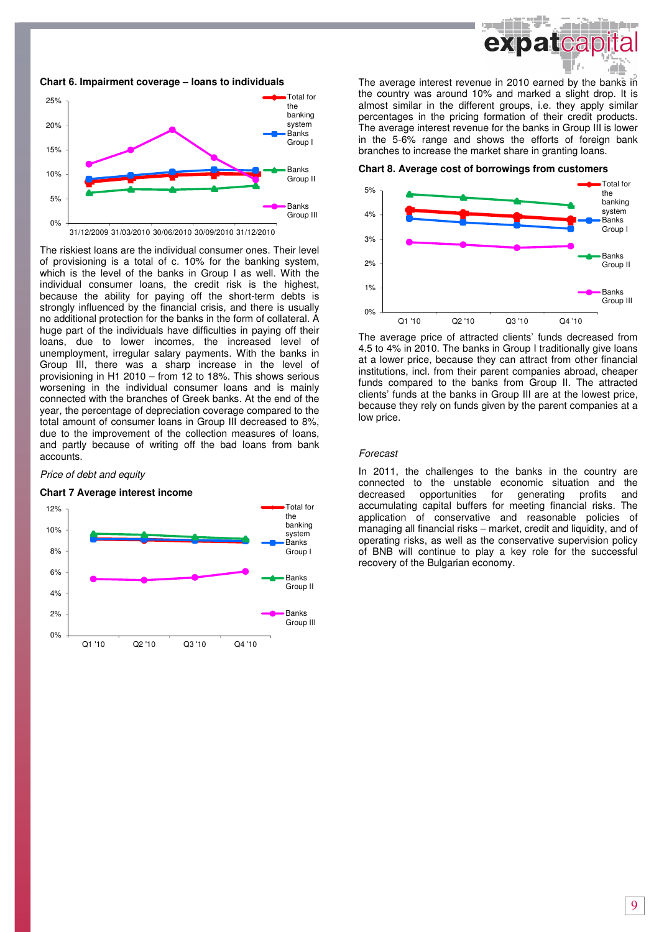

#### **Chart 6. Impairment coverage – loans to individuals**



The riskiest loans are the individual consumer ones. Their level of provisioning is a total of c. 10% for the banking system, which is the level of the banks in Group I as well. With the individual consumer loans, the credit risk is the highest, because the ability for paying off the short-term debts is strongly influenced by the financial crisis, and there is usually no additional protection for the banks in the form of collateral. A huge part of the individuals have difficulties in paying off their loans, due to lower incomes, the increased level of unemployment, irregular salary payments. With the banks in Group III, there was a sharp increase in the level of provisioning in H1 2010 – from 12 to 18%. This shows serious worsening in the individual consumer loans and is mainly connected with the branches of Greek banks. At the end of the year, the percentage of depreciation coverage compared to the total amount of consumer loans in Group III decreased to 8%, due to the improvement of the collection measures of loans, and partly because of writing off the bad loans from bank accounts.

#### Price of debt and equity

#### **Chart 7 Average interest income**



The average interest revenue in 2010 earned by the banks in the country was around 10% and marked a slight drop. It is almost similar in the different groups, i.e. they apply similar percentages in the pricing formation of their credit products. The average interest revenue for the banks in Group III is lower in the 5-6% range and shows the efforts of foreign bank branches to increase the market share in granting loans.

#### **Chart 8. Average cost of borrowings from customers**



The average price of attracted clients' funds decreased from 4.5 to 4% in 2010. The banks in Group I traditionally give loans at a lower price, because they can attract from other financial institutions, incl. from their parent companies abroad, cheaper funds compared to the banks from Group II. The attracted clients' funds at the banks in Group III are at the lowest price, because they rely on funds given by the parent companies at a low price.

#### Forecast

In 2011, the challenges to the banks in the country are connected to the unstable economic situation and the decreased opportunities for generating profits and accumulating capital buffers for meeting financial risks. The application of conservative and reasonable policies of managing all financial risks – market, credit and liquidity, and of operating risks, as well as the conservative supervision policy of BNB will continue to play a key role for the successful recovery of the Bulgarian economy.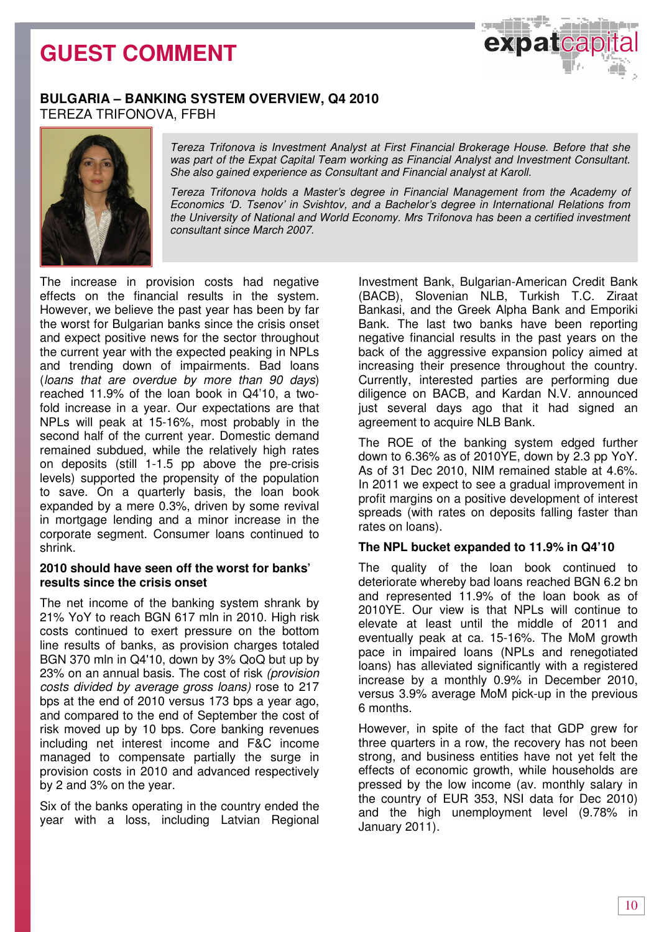

### **BULGARIA – BANKING SYSTEM OVERVIEW, Q4 2010**  TEREZA TRIFONOVA, FFBH



Tereza Trifonova is Investment Analyst at First Financial Brokerage House. Before that she was part of the Expat Capital Team working as Financial Analyst and Investment Consultant. She also gained experience as Consultant and Financial analyst at Karoll.

Tereza Trifonova holds a Master's degree in Financial Management from the Academy of Economics 'D. Tsenov' in Svishtov, and a Bachelor's degree in International Relations from the University of National and World Economy. Mrs Trifonova has been a certified investment consultant since March 2007.

The increase in provision costs had negative effects on the financial results in the system. However, we believe the past year has been by far the worst for Bulgarian banks since the crisis onset and expect positive news for the sector throughout the current year with the expected peaking in NPLs and trending down of impairments. Bad loans (loans that are overdue by more than 90 days) reached 11.9% of the loan book in Q4'10, a twofold increase in a year. Our expectations are that NPLs will peak at 15-16%, most probably in the second half of the current year. Domestic demand remained subdued, while the relatively high rates on deposits (still 1-1.5 pp above the pre-crisis levels) supported the propensity of the population to save. On a quarterly basis, the loan book expanded by a mere 0.3%, driven by some revival in mortgage lending and a minor increase in the corporate segment. Consumer loans continued to shrink.

### **2010 should have seen off the worst for banks' results since the crisis onset**

The net income of the banking system shrank by 21% YoY to reach BGN 617 mln in 2010. High risk costs continued to exert pressure on the bottom line results of banks, as provision charges totaled BGN 370 mln in Q4'10, down by 3% QoQ but up by 23% on an annual basis. The cost of risk (provision costs divided by average gross loans) rose to 217 bps at the end of 2010 versus 173 bps a year ago, and compared to the end of September the cost of risk moved up by 10 bps. Core banking revenues including net interest income and F&C income managed to compensate partially the surge in provision costs in 2010 and advanced respectively by 2 and 3% on the year.

Six of the banks operating in the country ended the year with a loss, including Latvian Regional Investment Bank, Bulgarian-American Credit Bank (BACB), Slovenian NLB, Turkish T.C. Ziraat Bankasi, and the Greek Alpha Bank and Emporiki Bank. The last two banks have been reporting negative financial results in the past years on the back of the aggressive expansion policy aimed at increasing their presence throughout the country. Currently, interested parties are performing due diligence on BACB, and Kardan N.V. announced just several days ago that it had signed an agreement to acquire NLB Bank.

The ROE of the banking system edged further down to 6.36% as of 2010YE, down by 2.3 pp YoY. As of 31 Dec 2010, NIM remained stable at 4.6%. In 2011 we expect to see a gradual improvement in profit margins on a positive development of interest spreads (with rates on deposits falling faster than rates on loans).

### **The NPL bucket expanded to 11.9% in Q4'10**

The quality of the loan book continued to deteriorate whereby bad loans reached BGN 6.2 bn and represented 11.9% of the loan book as of 2010YE. Our view is that NPLs will continue to elevate at least until the middle of 2011 and eventually peak at ca. 15-16%. The MoM growth pace in impaired loans (NPLs and renegotiated loans) has alleviated significantly with a registered increase by a monthly 0.9% in December 2010, versus 3.9% average MoM pick-up in the previous 6 months.

However, in spite of the fact that GDP grew for three quarters in a row, the recovery has not been strong, and business entities have not yet felt the effects of economic growth, while households are pressed by the low income (av. monthly salary in the country of EUR 353, NSI data for Dec 2010) and the high unemployment level (9.78% in January 2011).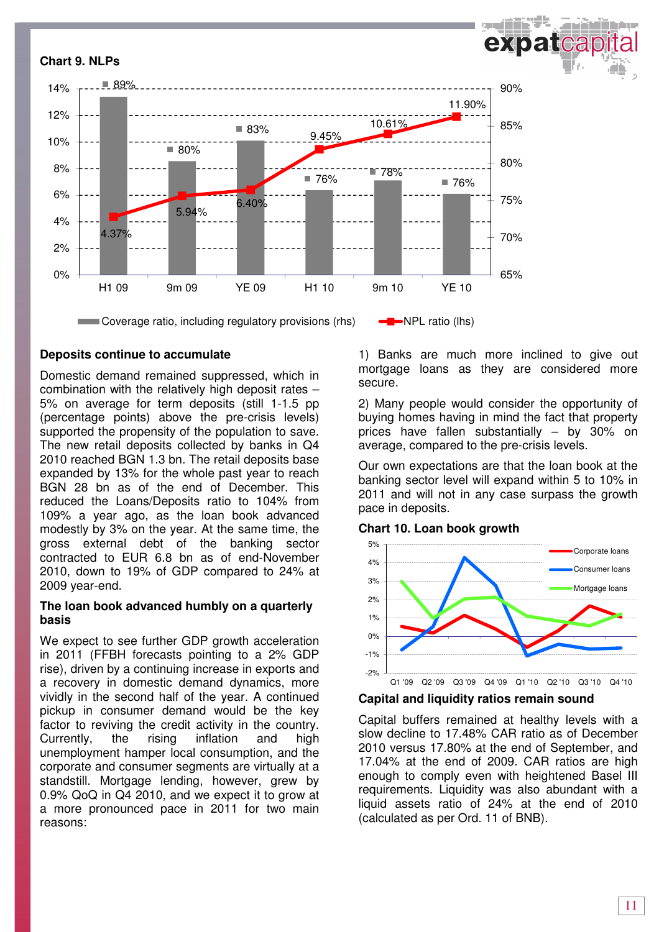

### **Deposits continue to accumulate**

Domestic demand remained suppressed, which in combination with the relatively high deposit rates – 5% on average for term deposits (still 1-1.5 pp (percentage points) above the pre-crisis levels) supported the propensity of the population to save. The new retail deposits collected by banks in Q4 2010 reached BGN 1.3 bn. The retail deposits base expanded by 13% for the whole past year to reach BGN 28 bn as of the end of December. This reduced the Loans/Deposits ratio to 104% from 109% a year ago, as the loan book advanced modestly by 3% on the year. At the same time, the gross external debt of the banking sector contracted to EUR 6.8 bn as of end-November 2010, down to 19% of GDP compared to 24% at 2009 year-end.

### **The loan book advanced humbly on a quarterly basis**

We expect to see further GDP growth acceleration in 2011 (FFBH forecasts pointing to a 2% GDP rise), driven by a continuing increase in exports and a recovery in domestic demand dynamics, more vividly in the second half of the year. A continued pickup in consumer demand would be the key factor to reviving the credit activity in the country. Currently, the rising inflation and high unemployment hamper local consumption, and the corporate and consumer segments are virtually at a standstill. Mortgage lending, however, grew by 0.9% QoQ in Q4 2010, and we expect it to grow at a more pronounced pace in 2011 for two main reasons:

1) Banks are much more inclined to give out mortgage loans as they are considered more secure.

2) Many people would consider the opportunity of buying homes having in mind the fact that property prices have fallen substantially – by 30% on average, compared to the pre-crisis levels.

Our own expectations are that the loan book at the banking sector level will expand within 5 to 10% in 2011 and will not in any case surpass the growth pace in deposits.

### **Chart 10. Loan book growth**



**Capital and liquidity ratios remain sound** 

Capital buffers remained at healthy levels with a slow decline to 17.48% CAR ratio as of December 2010 versus 17.80% at the end of September, and 17.04% at the end of 2009. CAR ratios are high enough to comply even with heightened Basel III requirements. Liquidity was also abundant with a liquid assets ratio of 24% at the end of 2010 (calculated as per Ord. 11 of BNB).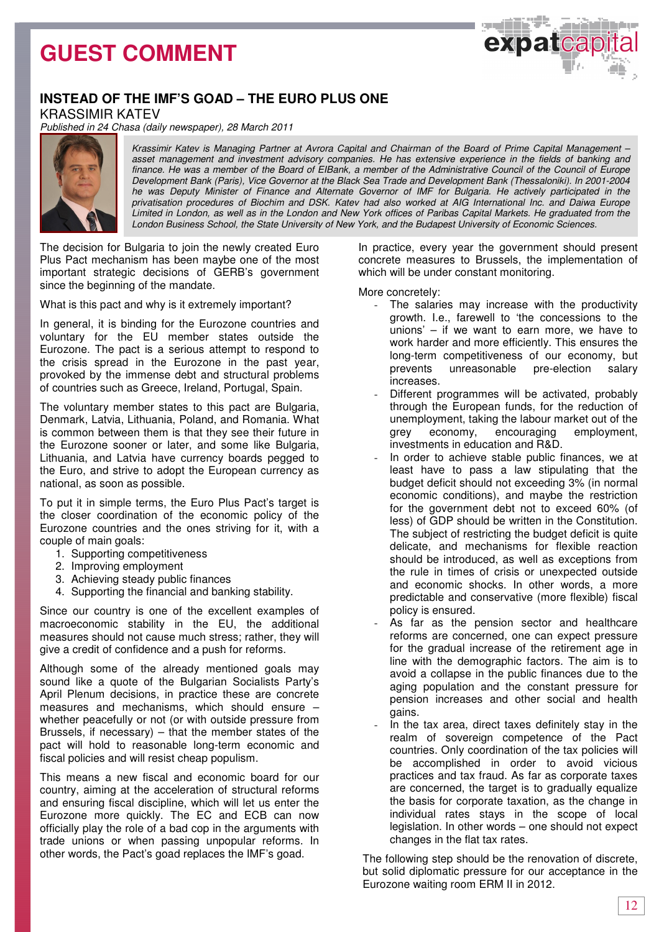expatcap

## **INSTEAD OF THE IMF'S GOAD – THE EURO PLUS ONE**

KRASSIMIR KATEV

Published in 24 Chasa (daily newspaper), 28 March 2011



Krassimir Katev is Managing Partner at Avrora Capital and Chairman of the Board of Prime Capital Management – asset management and investment advisory companies. He has extensive experience in the fields of banking and finance. He was a member of the Board of EIBank, a member of the Administrative Council of the Council of Europe Development Bank (Paris), Vice Governor at the Black Sea Trade and Development Bank (Thessaloniki). In 2001-2004 he was Deputy Minister of Finance and Alternate Governor of IMF for Bulgaria. He actively participated in the privatisation procedures of Biochim and DSK. Katev had also worked at AIG International Inc. and Daiwa Europe Limited in London, as well as in the London and New York offices of Paribas Capital Markets. He graduated from the London Business School, the State University of New York, and the Budapest University of Economic Sciences.

The decision for Bulgaria to join the newly created Euro Plus Pact mechanism has been maybe one of the most important strategic decisions of GERB's government since the beginning of the mandate.

What is this pact and why is it extremely important?

In general, it is binding for the Eurozone countries and voluntary for the EU member states outside the Eurozone. The pact is a serious attempt to respond to the crisis spread in the Eurozone in the past year, provoked by the immense debt and structural problems of countries such as Greece, Ireland, Portugal, Spain.

The voluntary member states to this pact are Bulgaria, Denmark, Latvia, Lithuania, Poland, and Romania. What is common between them is that they see their future in the Eurozone sooner or later, and some like Bulgaria, Lithuania, and Latvia have currency boards pegged to the Euro, and strive to adopt the European currency as national, as soon as possible.

To put it in simple terms, the Euro Plus Pact's target is the closer coordination of the economic policy of the Eurozone countries and the ones striving for it, with a couple of main goals:

- 1. Supporting competitiveness
- 2. Improving employment
- 3. Achieving steady public finances
- 4. Supporting the financial and banking stability.

Since our country is one of the excellent examples of macroeconomic stability in the EU, the additional measures should not cause much stress; rather, they will give a credit of confidence and a push for reforms.

Although some of the already mentioned goals may sound like a quote of the Bulgarian Socialists Party's April Plenum decisions, in practice these are concrete measures and mechanisms, which should ensure – whether peacefully or not (or with outside pressure from Brussels, if necessary)  $-$  that the member states of the pact will hold to reasonable long-term economic and fiscal policies and will resist cheap populism.

This means a new fiscal and economic board for our country, aiming at the acceleration of structural reforms and ensuring fiscal discipline, which will let us enter the Eurozone more quickly. The EC and ECB can now officially play the role of a bad cop in the arguments with trade unions or when passing unpopular reforms. In other words, the Pact's goad replaces the IMF's goad.

In practice, every year the government should present concrete measures to Brussels, the implementation of which will be under constant monitoring.

More concretely:

- The salaries may increase with the productivity growth. I.e., farewell to 'the concessions to the unions' – if we want to earn more, we have to work harder and more efficiently. This ensures the long-term competitiveness of our economy, but prevents unreasonable pre-election salary increases.
- Different programmes will be activated, probably through the European funds, for the reduction of unemployment, taking the labour market out of the grey economy, encouraging employment, investments in education and R&D.
- In order to achieve stable public finances, we at least have to pass a law stipulating that the budget deficit should not exceeding 3% (in normal economic conditions), and maybe the restriction for the government debt not to exceed 60% (of less) of GDP should be written in the Constitution. The subject of restricting the budget deficit is quite delicate, and mechanisms for flexible reaction should be introduced, as well as exceptions from the rule in times of crisis or unexpected outside and economic shocks. In other words, a more predictable and conservative (more flexible) fiscal policy is ensured.
- As far as the pension sector and healthcare reforms are concerned, one can expect pressure for the gradual increase of the retirement age in line with the demographic factors. The aim is to avoid a collapse in the public finances due to the aging population and the constant pressure for pension increases and other social and health gains.
- In the tax area, direct taxes definitely stay in the realm of sovereign competence of the Pact countries. Only coordination of the tax policies will be accomplished in order to avoid vicious practices and tax fraud. As far as corporate taxes are concerned, the target is to gradually equalize the basis for corporate taxation, as the change in individual rates stays in the scope of local legislation. In other words – one should not expect changes in the flat tax rates.

The following step should be the renovation of discrete, but solid diplomatic pressure for our acceptance in the Eurozone waiting room ERM II in 2012.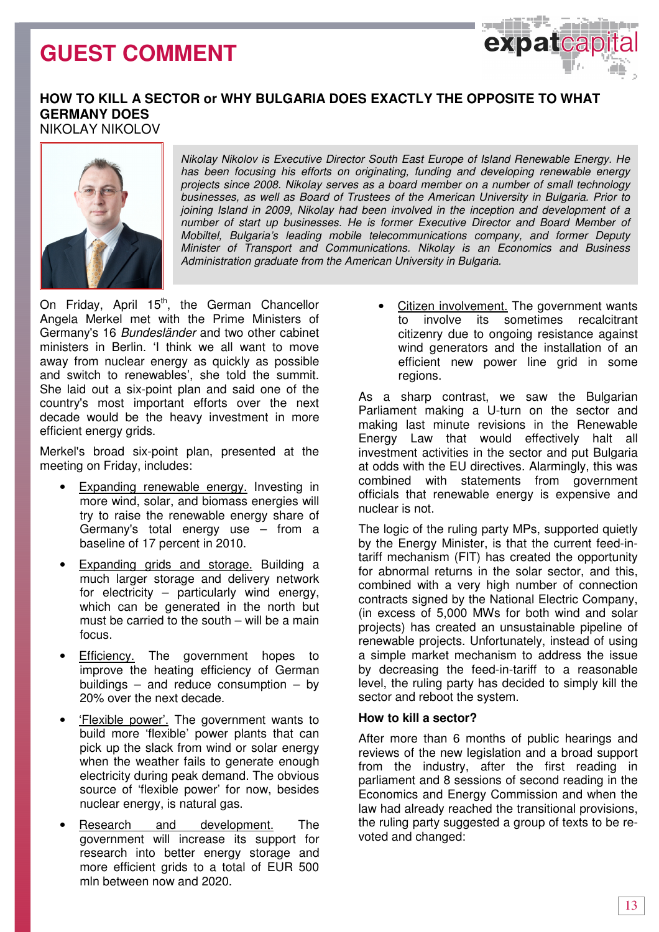

### **HOW TO KILL A SECTOR or WHY BULGARIA DOES EXACTLY THE OPPOSITE TO WHAT GERMANY DOES**  NIKOLAY NIKOLOV



Nikolay Nikolov is Executive Director South East Europe of Island Renewable Energy. He has been focusing his efforts on originating, funding and developing renewable energy projects since 2008. Nikolay serves as a board member on a number of small technology businesses, as well as Board of Trustees of the American University in Bulgaria. Prior to joining Island in 2009, Nikolay had been involved in the inception and development of a number of start up businesses. He is former Executive Director and Board Member of Mobiltel, Bulgaria's leading mobile telecommunications company, and former Deputy Minister of Transport and Communications. Nikolay is an Economics and Business Administration graduate from the American University in Bulgaria.

On Friday, April 15<sup>th</sup>, the German Chancellor Angela Merkel met with the Prime Ministers of Germany's 16 Bundesländer and two other cabinet ministers in Berlin. 'I think we all want to move away from nuclear energy as quickly as possible and switch to renewables', she told the summit. She laid out a six-point plan and said one of the country's most important efforts over the next decade would be the heavy investment in more efficient energy grids.

Merkel's broad six-point plan, presented at the meeting on Friday, includes:

- Expanding renewable energy. Investing in more wind, solar, and biomass energies will try to raise the renewable energy share of Germany's total energy use – from a baseline of 17 percent in 2010.
- Expanding grids and storage. Building a much larger storage and delivery network for electricity – particularly wind energy, which can be generated in the north but must be carried to the south – will be a main focus.
- **Efficiency.** The government hopes to improve the heating efficiency of German buildings  $-$  and reduce consumption  $-$  by 20% over the next decade.
- 'Flexible power'. The government wants to build more 'flexible' power plants that can pick up the slack from wind or solar energy when the weather fails to generate enough electricity during peak demand. The obvious source of 'flexible power' for now, besides nuclear energy, is natural gas.
- Research and development. The government will increase its support for research into better energy storage and more efficient grids to a total of EUR 500 mln between now and 2020.

Citizen involvement. The government wants to involve its sometimes recalcitrant citizenry due to ongoing resistance against wind generators and the installation of an efficient new power line grid in some regions.

As a sharp contrast, we saw the Bulgarian Parliament making a U-turn on the sector and making last minute revisions in the Renewable Energy Law that would effectively halt all investment activities in the sector and put Bulgaria at odds with the EU directives. Alarmingly, this was combined with statements from government officials that renewable energy is expensive and nuclear is not.

The logic of the ruling party MPs, supported quietly by the Energy Minister, is that the current feed-intariff mechanism (FIT) has created the opportunity for abnormal returns in the solar sector, and this, combined with a very high number of connection contracts signed by the National Electric Company, (in excess of 5,000 MWs for both wind and solar projects) has created an unsustainable pipeline of renewable projects. Unfortunately, instead of using a simple market mechanism to address the issue by decreasing the feed-in-tariff to a reasonable level, the ruling party has decided to simply kill the sector and reboot the system.

### **How to kill a sector?**

After more than 6 months of public hearings and reviews of the new legislation and a broad support from the industry, after the first reading in parliament and 8 sessions of second reading in the Economics and Energy Commission and when the law had already reached the transitional provisions, the ruling party suggested a group of texts to be revoted and changed: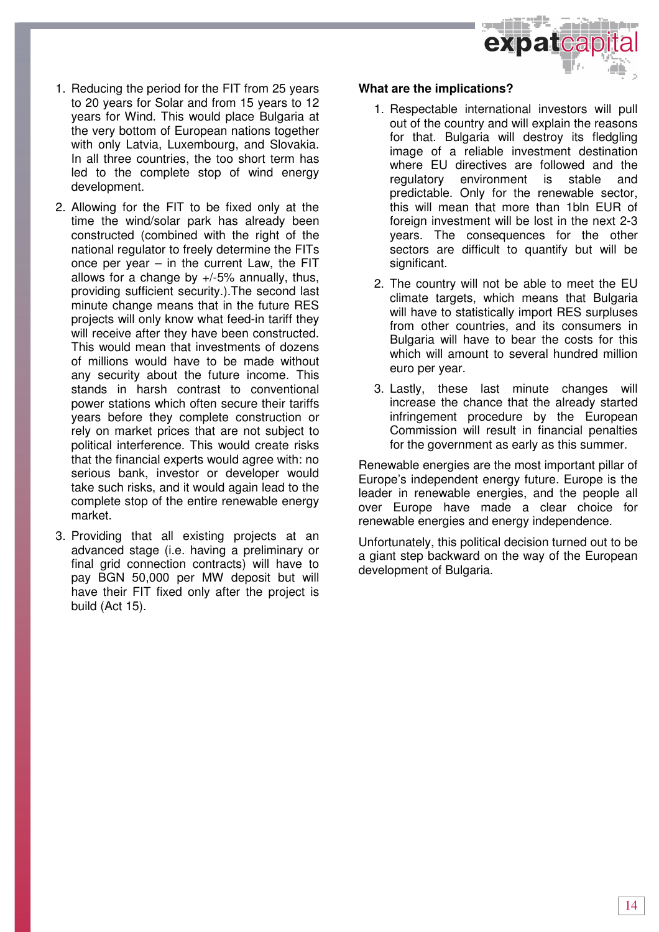

- 1. Reducing the period for the FIT from 25 years to 20 years for Solar and from 15 years to 12 years for Wind. This would place Bulgaria at the very bottom of European nations together with only Latvia, Luxembourg, and Slovakia. In all three countries, the too short term has led to the complete stop of wind energy development.
- 2. Allowing for the FIT to be fixed only at the time the wind/solar park has already been constructed (combined with the right of the national regulator to freely determine the FITs once per year – in the current Law, the FIT allows for a change by +/-5% annually, thus, providing sufficient security.).The second last minute change means that in the future RES projects will only know what feed-in tariff they will receive after they have been constructed. This would mean that investments of dozens of millions would have to be made without any security about the future income. This stands in harsh contrast to conventional power stations which often secure their tariffs years before they complete construction or rely on market prices that are not subject to political interference. This would create risks that the financial experts would agree with: no serious bank, investor or developer would take such risks, and it would again lead to the complete stop of the entire renewable energy market.
- 3. Providing that all existing projects at an advanced stage (i.e. having a preliminary or final grid connection contracts) will have to pay BGN 50,000 per MW deposit but will have their FIT fixed only after the project is build (Act 15).

### **What are the implications?**

- 1. Respectable international investors will pull out of the country and will explain the reasons for that. Bulgaria will destroy its fledgling image of a reliable investment destination where EU directives are followed and the regulatory environment is stable and predictable. Only for the renewable sector, this will mean that more than 1bln EUR of foreign investment will be lost in the next 2-3 years. The consequences for the other sectors are difficult to quantify but will be significant.
- 2. The country will not be able to meet the EU climate targets, which means that Bulgaria will have to statistically import RES surpluses from other countries, and its consumers in Bulgaria will have to bear the costs for this which will amount to several hundred million euro per year.
- 3. Lastly, these last minute changes will increase the chance that the already started infringement procedure by the European Commission will result in financial penalties for the government as early as this summer.

Renewable energies are the most important pillar of Europe's independent energy future. Europe is the leader in renewable energies, and the people all over Europe have made a clear choice for renewable energies and energy independence.

Unfortunately, this political decision turned out to be a giant step backward on the way of the European development of Bulgaria.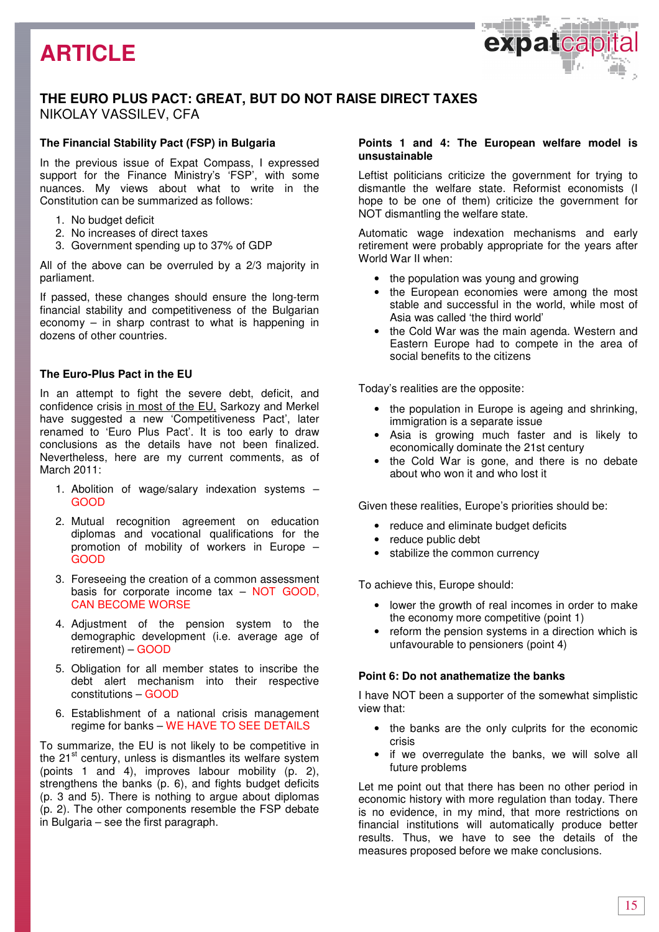## **ARTICLE**



### **THE EURO PLUS PACT: GREAT, BUT DO NOT RAISE DIRECT TAXES**  NIKOLAY VASSILEV, CFA

### **The Financial Stability Pact (FSP) in Bulgaria**

In the previous issue of Expat Compass, I expressed support for the Finance Ministry's 'FSP', with some nuances. My views about what to write in the Constitution can be summarized as follows:

- 1. No budget deficit
- 2. No increases of direct taxes
- 3. Government spending up to 37% of GDP

All of the above can be overruled by a 2/3 majority in parliament.

If passed, these changes should ensure the long-term financial stability and competitiveness of the Bulgarian economy  $-$  in sharp contrast to what is happening in dozens of other countries.

### **The Euro-Plus Pact in the EU**

In an attempt to fight the severe debt, deficit, and confidence crisis in most of the EU, Sarkozy and Merkel have suggested a new 'Competitiveness Pact', later renamed to 'Euro Plus Pact'. It is too early to draw conclusions as the details have not been finalized. Nevertheless, here are my current comments, as of March 2011:

- 1. Abolition of wage/salary indexation systems GOOD
- 2. Mutual recognition agreement on education diplomas and vocational qualifications for the promotion of mobility of workers in Europe – GOOD
- 3. Foreseeing the creation of a common assessment basis for corporate income tax – NOT GOOD, CAN BECOME WORSE
- 4. Adjustment of the pension system to the demographic development (i.e. average age of retirement) – GOOD
- 5. Obligation for all member states to inscribe the debt alert mechanism into their respective constitutions – GOOD
- 6. Establishment of a national crisis management regime for banks – WE HAVE TO SEE DETAILS

To summarize, the EU is not likely to be competitive in the  $21<sup>st</sup>$  century, unless is dismantles its welfare system (points 1 and 4), improves labour mobility (p. 2), strengthens the banks (p. 6), and fights budget deficits (p. 3 and 5). There is nothing to argue about diplomas (p. 2). The other components resemble the FSP debate in Bulgaria – see the first paragraph.

### **Points 1 and 4: The European welfare model is unsustainable**

Leftist politicians criticize the government for trying to dismantle the welfare state. Reformist economists (I hope to be one of them) criticize the government for NOT dismantling the welfare state.

Automatic wage indexation mechanisms and early retirement were probably appropriate for the years after World War II when:

- the population was young and growing
- the European economies were among the most stable and successful in the world, while most of Asia was called 'the third world'
- the Cold War was the main agenda. Western and Eastern Europe had to compete in the area of social benefits to the citizens

Today's realities are the opposite:

- the population in Europe is ageing and shrinking. immigration is a separate issue
- Asia is growing much faster and is likely to economically dominate the 21st century
- the Cold War is gone, and there is no debate about who won it and who lost it

Given these realities, Europe's priorities should be:

- reduce and eliminate budget deficits
- reduce public debt
- stabilize the common currency

To achieve this, Europe should:

- lower the growth of real incomes in order to make the economy more competitive (point 1)
- reform the pension systems in a direction which is unfavourable to pensioners (point 4)

#### **Point 6: Do not anathematize the banks**

I have NOT been a supporter of the somewhat simplistic view that:

- the banks are the only culprits for the economic crisis
- if we overregulate the banks, we will solve all future problems

Let me point out that there has been no other period in economic history with more regulation than today. There is no evidence, in my mind, that more restrictions on financial institutions will automatically produce better results. Thus, we have to see the details of the measures proposed before we make conclusions.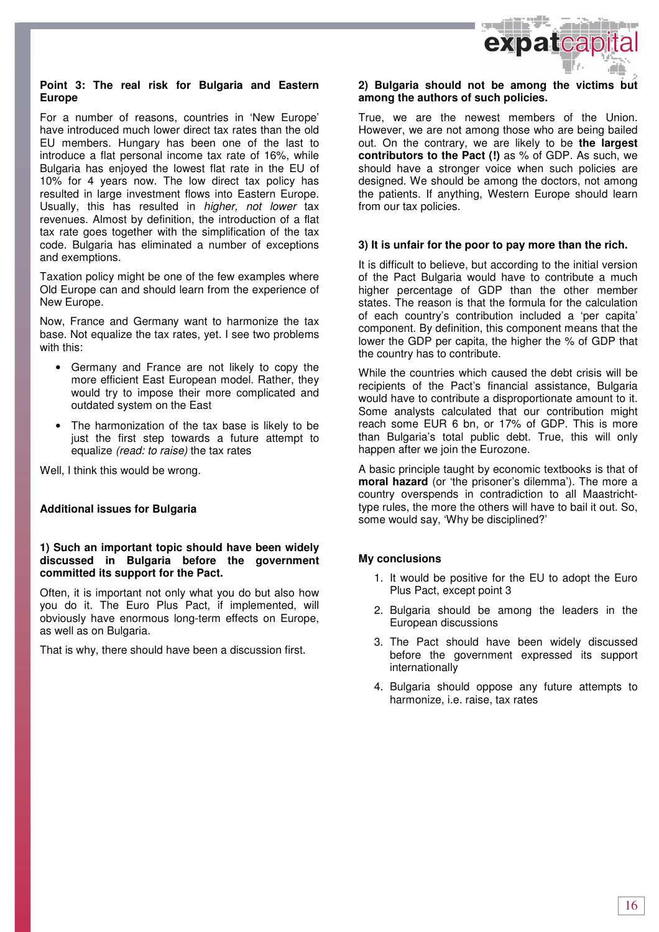

### **Point 3: The real risk for Bulgaria and Eastern Europe**

For a number of reasons, countries in 'New Europe' have introduced much lower direct tax rates than the old EU members. Hungary has been one of the last to introduce a flat personal income tax rate of 16%, while Bulgaria has enjoyed the lowest flat rate in the EU of 10% for 4 years now. The low direct tax policy has resulted in large investment flows into Eastern Europe. Usually, this has resulted in higher, not lower tax revenues. Almost by definition, the introduction of a flat tax rate goes together with the simplification of the tax code. Bulgaria has eliminated a number of exceptions and exemptions.

Taxation policy might be one of the few examples where Old Europe can and should learn from the experience of New Europe.

Now, France and Germany want to harmonize the tax base. Not equalize the tax rates, yet. I see two problems with this:

- Germany and France are not likely to copy the more efficient East European model. Rather, they would try to impose their more complicated and outdated system on the East
- The harmonization of the tax base is likely to be just the first step towards a future attempt to equalize (read: to raise) the tax rates

Well, I think this would be wrong.

### **Additional issues for Bulgaria**

### **1) Such an important topic should have been widely discussed in Bulgaria before the government committed its support for the Pact.**

Often, it is important not only what you do but also how you do it. The Euro Plus Pact, if implemented, will obviously have enormous long-term effects on Europe, as well as on Bulgaria.

That is why, there should have been a discussion first.

### **2) Bulgaria should not be among the victims but among the authors of such policies.**

True, we are the newest members of the Union. However, we are not among those who are being bailed out. On the contrary, we are likely to be **the largest contributors to the Pact (!)** as % of GDP. As such, we should have a stronger voice when such policies are designed. We should be among the doctors, not among the patients. If anything, Western Europe should learn from our tax policies.

### **3) It is unfair for the poor to pay more than the rich.**

It is difficult to believe, but according to the initial version of the Pact Bulgaria would have to contribute a much higher percentage of GDP than the other member states. The reason is that the formula for the calculation of each country's contribution included a 'per capita' component. By definition, this component means that the lower the GDP per capita, the higher the % of GDP that the country has to contribute.

While the countries which caused the debt crisis will be recipients of the Pact's financial assistance, Bulgaria would have to contribute a disproportionate amount to it. Some analysts calculated that our contribution might reach some EUR 6 bn, or 17% of GDP. This is more than Bulgaria's total public debt. True, this will only happen after we join the Eurozone.

A basic principle taught by economic textbooks is that of **moral hazard** (or 'the prisoner's dilemma'). The more a country overspends in contradiction to all Maastrichttype rules, the more the others will have to bail it out. So, some would say, 'Why be disciplined?'

### **My conclusions**

- 1. It would be positive for the EU to adopt the Euro Plus Pact, except point 3
- 2. Bulgaria should be among the leaders in the European discussions
- 3. The Pact should have been widely discussed before the government expressed its support internationally
- 4. Bulgaria should oppose any future attempts to harmonize, i.e. raise, tax rates